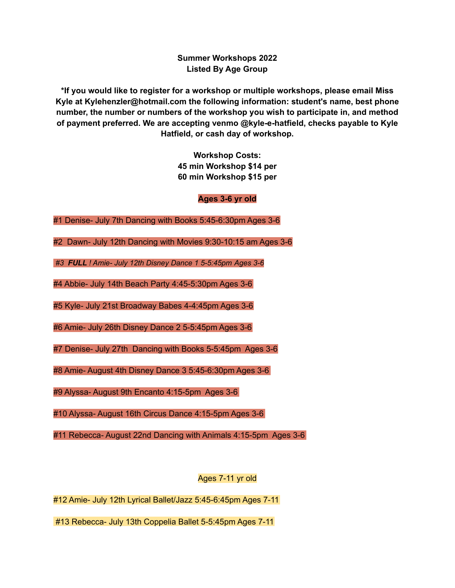**Summer Workshops 2022 Listed By Age Group**

**\*If you would like to register for a workshop or multiple workshops, please email Miss Kyle at Kylehenzler@hotmail.com the following information: student's name, best phone number, the number or numbers of the workshop you wish to participate in, and method of payment preferred. We are accepting venmo @kyle-e-hatfield, checks payable to Kyle Hatfield, or cash day of workshop.**

> **Workshop Costs: 45 min Workshop \$14 per 60 min Workshop \$15 per**

> > **Ages 3-6 yr old**

- #1 Denise- July 7th Dancing with Books 5:45-6:30pm Ages 3-6
- #2 Dawn- July 12th Dancing with Movies 9:30-10:15 am Ages 3-6

*#3 FULL ! Amie- July 12th Disney Dance 1 5-5:45pm Ages 3-6*

#4 Abbie- July 14th Beach Party 4:45-5:30pm Ages 3-6

#5 Kyle- July 21st Broadway Babes 4-4:45pm Ages 3-6

#6 Amie- July 26th Disney Dance 2 5-5:45pm Ages 3-6

#7 Denise- July 27th Dancing with Books 5-5:45pm Ages 3-6

#8 Amie- August 4th Disney Dance 3 5:45-6:30pm Ages 3-6

#9 Alyssa- August 9th Encanto 4:15-5pm Ages 3-6

#10 Alyssa- August 16th Circus Dance 4:15-5pm Ages 3-6

#11 Rebecca- August 22nd Dancing with Animals 4:15-5pm Ages 3-6

Ages 7-11 yr old

#12 Amie- July 12th Lyrical Ballet/Jazz 5:45-6:45pm Ages 7-11

#13 Rebecca- July 13th Coppelia Ballet 5-5:45pm Ages 7-11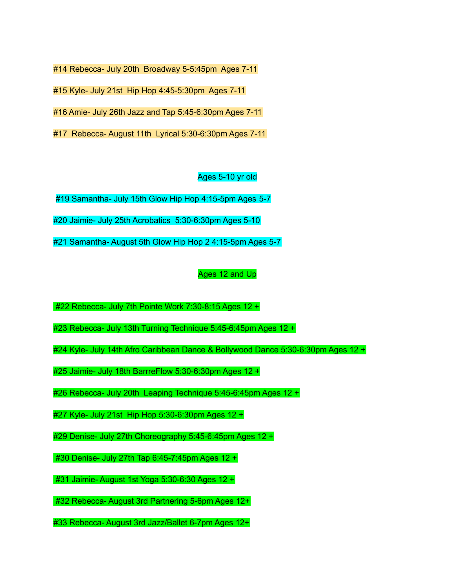#14 Rebecca- July 20th Broadway 5-5:45pm Ages 7-11

#15 Kyle- July 21st Hip Hop 4:45-5:30pm Ages 7-11

#16 Amie- July 26th Jazz and Tap 5:45-6:30pm Ages 7-11

#17 Rebecca- August 11th Lyrical 5:30-6:30pm Ages 7-11

## Ages 5-10 yr old

#19 Samantha- July 15th Glow Hip Hop 4:15-5pm Ages 5-7

#20 Jaimie- July 25th Acrobatics 5:30-6:30pm Ages 5-10

#21 Samantha- August 5th Glow Hip Hop 2 4:15-5pm Ages 5-7

## Ages 12 and Up

#22 Rebecca- July 7th Pointe Work 7:30-8:15 Ages 12 +

#23 Rebecca- July 13th Turning Technique 5:45-6:45pm Ages 12 +

#24 Kyle- July 14th Afro Caribbean Dance & Bollywood Dance 5:30-6:30pm Ages 12 +

#25 Jaimie- July 18th BarrreFlow 5:30-6:30pm Ages 12 +

#26 Rebecca- July 20th Leaping Technique 5:45-6:45pm Ages 12 +

#27 Kyle- July 21st Hip Hop 5:30-6:30pm Ages 12 +

#29 Denise- July 27th Choreography 5:45-6:45pm Ages 12 +

#30 Denise- July 27th Tap 6:45-7:45pm Ages 12 +

#31 Jaimie- August 1st Yoga 5:30-6:30 Ages 12 +

#32 Rebecca- August 3rd Partnering 5-6pm Ages 12+

#33 Rebecca- August 3rd Jazz/Ballet 6-7pm Ages 12+